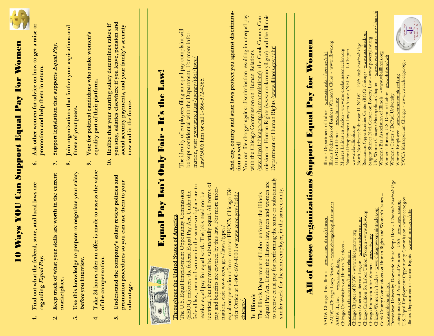| $\div$                   | YOU Can Support Equal<br>Find out what the federal, state, and local laws are<br>Nays<br>regarding Equal Pay.                                                                                                                                                                                                                                                                                                                         | $\ddot{\circ}$           | Ask other women for advice on how to get a raise or<br><b>For Women</b><br>promotion and help them in return.<br>Pay                                                                                                                                                                                                                                                                                                            |
|--------------------------|---------------------------------------------------------------------------------------------------------------------------------------------------------------------------------------------------------------------------------------------------------------------------------------------------------------------------------------------------------------------------------------------------------------------------------------|--------------------------|---------------------------------------------------------------------------------------------------------------------------------------------------------------------------------------------------------------------------------------------------------------------------------------------------------------------------------------------------------------------------------------------------------------------------------|
| $\mathbf{\dot{q}}$       | Keep track of what your skills are worth in the current<br>marketplace.                                                                                                                                                                                                                                                                                                                                                               | $\mathbb{N}$<br>$\infty$ | Join organizations that further your aspirations and<br>Support legislation that supports Equal Pay.                                                                                                                                                                                                                                                                                                                            |
| $\div$<br>$\ddot{\rm e}$ | offer is made to assess the value<br>prepare to negotiate your salary<br>Use this knowledge to<br>Take 24 hours after an<br>before you interview.                                                                                                                                                                                                                                                                                     | $\ddot{\circ}$           | Vote for political candidates who make women's<br>equality part of their platform.<br>those of your peers.                                                                                                                                                                                                                                                                                                                      |
| ιó                       | Understand the company's salary review policies and<br>so you can use them to your<br>promotion procedures<br>of the compensation.<br>advantage                                                                                                                                                                                                                                                                                       | $\ddot{=}$               | you stay, salaries elsewhere if you leave, pension and<br>Realize that your starting salary determines raises if<br>social security payments, and your family's security<br>now and in the future.                                                                                                                                                                                                                              |
|                          | Isn't<br>Pay<br>Equal<br><b>THE INTERNATIONAL PROPERTY</b><br>¢                                                                                                                                                                                                                                                                                                                                                                       | <b>Only</b>              | Law!<br>It's the<br>Fair -                                                                                                                                                                                                                                                                                                                                                                                                      |
|                          | identical, but they must be substantially equal. All forms of<br>in the same workplace are to<br>by this law. For more infor-<br>Opportunity Commission<br>Equal Pay Act. Under the<br>receive equal pay for equal work. The jobs need not be<br>tes of America<br><b>Throughout the United Sta</b><br>The U.S. Equal Employment<br>(EEOC) enforces the federal<br>federal law, men and women<br>pay and benefits are covered         |                          | The identity of employees filing an equal pay complaint will<br>be kept confidential with the Department. For more infor-<br>agency/idol/laws<br>Law93006.htm or call 1-866-372-4365<br>mation, visit www.state.il.us/                                                                                                                                                                                                          |
|                          | equalcompensation.cfm or contact EEOC's Chicago Dis-<br>trict Office at 1-800-669-4000 or www.eeoc.gov/field/<br>mation, visit www.eeoc.gov/laws/types.<br>chicago,                                                                                                                                                                                                                                                                   |                          | And city, county and state laws protect you against discrimina-<br>You can file charges against discrimination resulting in unequal pay<br>tion as well                                                                                                                                                                                                                                                                         |
|                          | to receive equal pay for performing the same or substantially<br>Equal Pay Act. Under the Illinois law, men and women are<br>similar work for the same employer, in the same county.<br>The Illinois Department of Labor enforces the Illinois<br>In Illinois                                                                                                                                                                         |                          | (ww.cityofchicago.org/humanrelations), the Cook County Com-<br>mission on Human Rights (www.cookcountyil.gov) and the Illinois<br>Department of Human Rights (www.illinois.gov/dhr)<br>with the Chicago Commission on Human Relations                                                                                                                                                                                           |
|                          | Organizations<br>All of these                                                                                                                                                                                                                                                                                                                                                                                                         |                          | Women<br>for<br>Pay<br>Equal<br>Support                                                                                                                                                                                                                                                                                                                                                                                         |
| AAUW-                    | - www.chicagoloop-il.aauw.net<br>AAUW Chicago, Inc. Illinois - www.aauw-il.org/chicago<br>www.chicagonow.org<br>Chicago Commission on Human Relations<br>humanrelations<br>- www.aauw-il.org<br>-Chicago Loop Branch<br>Chicago Chapter of NOW-<br>cityofchicago.org/<br>AAUW-IL, Inc.                                                                                                                                                |                          | www.ifbwc.org<br>National Employment Lawyers Assoc. (NELA) - IL Chapter<br>Mujeres Latinas en Accion - www.mujereslatinasenaccion.org<br>Illinois Department of Labor - www.state.il.us/agency/idol<br>Illinois Federation of Business Women's Clubs<br>LULAC of Illinois - www.lulac.org                                                                                                                                       |
|                          | Dominican University Domestic Abuse Stops Here - Visit their Facebook Page<br>Cook County Commissions on Human Rights and Women's Issues<br>www.chicagowomenintrades.org<br>Chicago Coalition for Labor Union Women - www.cluw.org<br>ww.caslservice.org<br>$rac{\text{arg}}{\text{diag}}$<br>Chicago Foundation for Women - www.cfw<br>Chicago American Service League -<br>Chicago Women in Trades -<br><u>www.cookcountyil.gov</u> |                          | www.unwomen-usnc.org/chapchi<br>Restaurant Opportunities Center (ROC) Chicago - www.rocunited.org<br>Sargent Shriver Natl. Center on Poverty Law - www.povertylaw.org<br>www.nela-illinois.org<br>North Northwest Suburban IL NOW - <i>Visit their Fawbook Page</i><br>www.wbaillinois.org<br>Women's Bureau, U.S. Dept. of Labor - www.dol.gov/wb<br>Women Chicago Metropolitan Chapter<br>Women's Bar Association of Illinois |
|                          | U.S. Equal Employment Opportunity Commission - www.eeoc.gov<br>- www.epw-usa.org<br>www.illinois.gov/dhr<br>$-$ USA<br>Enterprising and Professional Women<br>Illinois Department of Human Rights -                                                                                                                                                                                                                                   |                          | Women's Center / DePaul University<br>Women Employed - <u>www.womenemployed.org</u><br>YWCA Metropolitan Chicago - <u>www.ywcachicago.org</u> .                                                                                                                                                                                                                                                                                 |